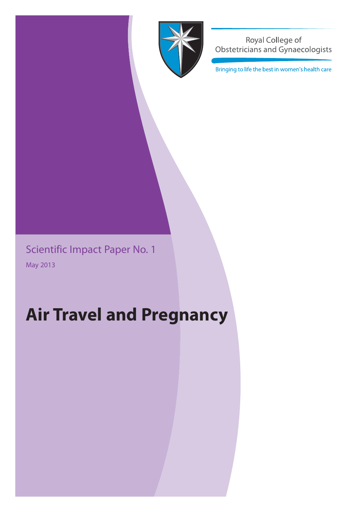

Royal College of Obstetricians and Gynaecologists

Bringing to life the best in women's health care

Scientific Impact Paper No. 1 May 2013

# **Air Travel and Pregnancy**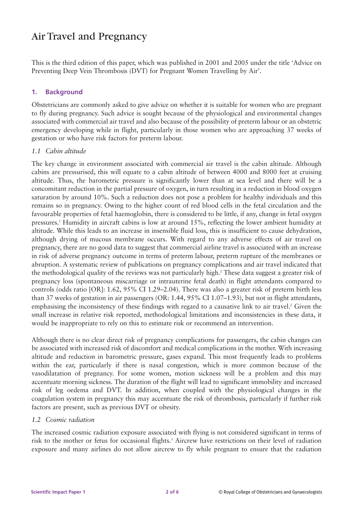# Air Travel and Pregnancy

This is the third edition of this paper, which was published in 2001 and 2005 under the title 'Advice on Preventing Deep Vein Thrombosis (DVT) for Pregnant Women Travelling by Air'.

# **1. Background**

Obstetricians are commonly asked to give advice on whether it is suitable for women who are pregnant to fly during pregnancy. Such advice is sought because of the physiological and environmental changes associated with commercial air travel and also because of the possibility of preterm labour or an obstetric emergency developing while in flight, particularly in those women who are approaching 37 weeks of gestation or who have risk factors for preterm labour.

### *1.1 Cabin altitude*

The key change in environment associated with commercial air travel is the cabin altitude. Although cabins are pressurised, this will equate to a cabin altitude of between 4000 and 8000 feet at cruising altitude. Thus, the barometric pressure is significantly lower than at sea level and there will be a concomitant reduction in the partial pressure of oxygen, in turn resulting in a reduction in blood oxygen saturation by around 10%. Such a reduction does not pose a problem for healthy individuals and this remains so in pregnancy. Owing to the higher count of red blood cells in the fetal circulation and the favourable properties of fetal haemoglobin, there is considered to be little, if any, change in fetal oxygen pressures.1 Humidity in aircraft cabins is low at around 15%, reflecting the lower ambient humidity at altitude. While this leads to an increase in insensible fluid loss, this is insufficient to cause dehydration, although drying of mucous membrane occurs. With regard to any adverse effects of air travel on pregnancy, there are no good data to suggest that commercial airline travel is associated with an increase in risk of adverse pregnancy outcome in terms of preterm labour, preterm rupture of the membranes or abruption. A systematic review of publications on pregnancy complications and air travel indicated that the methodological quality of the reviews was not particularly high.2 These data suggest a greater risk of pregnancy loss (spontaneous miscarriage or intrauterine fetal death) in flight attendants compared to controls (odds ratio [OR]: 1.62, 95% CI 1.29–2.04). There was also a greater risk of preterm birth less than 37 weeks of gestation in air passengers (OR: 1.44, 95% CI 1.07–1.93), but not in flight attendants, emphasising the inconsistency of these findings with regard to a causative link to air travel.<sup>2</sup> Given the small increase in relative risk reported, methodological limitations and inconsistencies in these data, it would be inappropriate to rely on this to estimate risk or recommend an intervention.

Although there is no clear direct risk of pregnancy complications for passengers, the cabin changes can be associated with increased risk of discomfort and medical complications in the mother. With increasing altitude and reduction in barometric pressure, gases expand. This most frequently leads to problems within the ear, particularly if there is nasal congestion, which is more common because of the vasodilatation of pregnancy. For some women, motion sickness will be a problem and this may accentuate morning sickness. The duration of the flight will lead to significant immobility and increased risk of leg oedema and DVT. In addition, when coupled with the physiological changes in the coagulation system in pregnancy this may accentuate the risk of thrombosis, particularly if further risk factors are present, such as previous DVT or obesity.

### *1.2 Cosmic radiation*

The increased cosmic radiation exposure associated with flying is not considered significant in terms of risk to the mother or fetus for occasional flights.<sup>3</sup> Aircrew have restrictions on their level of radiation exposure and many airlines do not allow aircrew to fly while pregnant to ensure that the radiation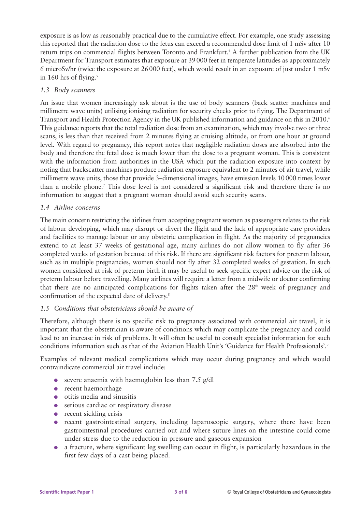exposure is as low as reasonably practical due to the cumulative effect. For example, one study assessing this reported that the radiation dose to the fetus can exceed a recommended dose limit of 1 mSv after 10 return trips on commercial flights between Toronto and Frankfurt.<sup>4</sup> A further publication from the UK Department for Transport estimates that exposure at 39 000 feet in temperate latitudes as approximately 6 microSv/hr (twice the exposure at 26 000 feet), which would result in an exposure of just under 1 mSv in 160 hrs of flying.<sup>5</sup>

# *1.3 Body scanners*

An issue that women increasingly ask about is the use of body scanners (back scatter machines and millimetre wave units) utilising ionising radiation for security checks prior to flying. The Department of Transport and Health Protection Agency in the UK published information and guidance on this in 2010.6 This guidance reports that the total radiation dose from an examination, which may involve two or three scans, is less than that received from 2 minutes flying at cruising altitude, or from one hour at ground level. With regard to pregnancy, this report notes that negligible radiation doses are absorbed into the body and therefore the fetal dose is much lower than the dose to a pregnant woman. This is consistent with the information from authorities in the USA which put the radiation exposure into context by noting that backscatter machines produce radiation exposure equivalent to 2 minutes of air travel, while millimetre wave units, those that provide 3–dimensional images, have emission levels 10 000 times lower than a mobile phone.7 This dose level is not considered a significant risk and therefore there is no information to suggest that a pregnant woman should avoid such security scans.

# *1.4 Airline concerns*

The main concern restricting the airlines from accepting pregnant women as passengers relates to the risk of labour developing, which may disrupt or divert the flight and the lack of appropriate care providers and facilities to manage labour or any obstetric complication in flight. As the majority of pregnancies extend to at least 37 weeks of gestational age, many airlines do not allow women to fly after 36 completed weeks of gestation because of this risk. If there are significant risk factors for preterm labour, such as in multiple pregnancies, women should not fly after 32 completed weeks of gestation. In such women considered at risk of preterm birth it may be useful to seek specific expert advice on the risk of preterm labour before travelling. Many airlines will require a letter from a midwife or doctor confirming that there are no anticipated complications for flights taken after the  $28<sup>th</sup>$  week of pregnancy and confirmation of the expected date of delivery.<sup>8</sup>

# *1.5 Conditions that obstetricians should be aware of*

Therefore, although there is no specific risk to pregnancy associated with commercial air travel, it is important that the obstetrician is aware of conditions which may complicate the pregnancy and could lead to an increase in risk of problems. It will often be useful to consult specialist information for such conditions information such as that of the Aviation Health Unit's 'Guidance for Health Professionals'.<sup>9</sup>

Examples of relevant medical complications which may occur during pregnancy and which would contraindicate commercial air travel include:

- severe anaemia with haemoglobin less than  $7.5 \text{ g/dl}$
- recent haemorrhage
- $\bullet$  otitis media and sinusitis
- serious cardiac or respiratory disease
- recent sickling crisis
- recent gastrointestinal surgery, including laparoscopic surgery, where there have been gastrointestinal procedures carried out and where suture lines on the intestine could come under stress due to the reduction in pressure and gaseous expansion
- a fracture, where significant leg swelling can occur in flight, is particularly hazardous in the first few days of a cast being placed.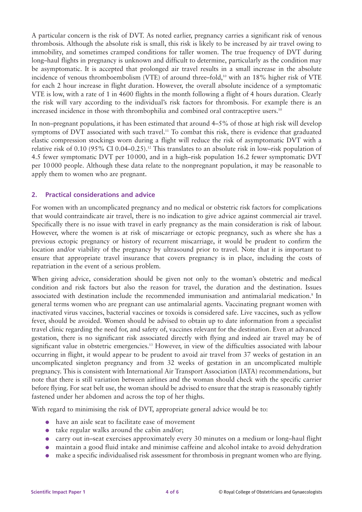A particular concern is the risk of DVT. As noted earlier, pregnancy carries a significant risk of venous thrombosis. Although the absolute risk is small, this risk is likely to be increased by air travel owing to immobility, and sometimes cramped conditions for taller women. The true frequency of DVT during long–haul flights in pregnancy is unknown and difficult to determine, particularly as the condition may be asymptomatic. It is accepted that prolonged air travel results in a small increase in the absolute incidence of venous thromboembolism (VTE) of around three–fold,<sup>10</sup> with an 18% higher risk of VTE for each 2 hour increase in flight duration. However, the overall absolute incidence of a symptomatic VTE is low, with a rate of 1 in 4600 flights in the month following a flight of 4 hours duration. Clearly the risk will vary according to the individual's risk factors for thrombosis. For example there is an increased incidence in those with thrombophilia and combined oral contraceptive users.<sup>10</sup>

In non–pregnant populations, it has been estimated that around 4–5% of those at high risk will develop symptoms of DVT associated with such travel.<sup>11</sup> To combat this risk, there is evidence that graduated elastic compression stockings worn during a flight will reduce the risk of asymptomatic DVT with a relative risk of 0.10 (95% CI 0.04–0.25).<sup>12</sup> This translates to an absolute risk in low–risk population of 4.5 fewer symptomatic DVT per 10 000, and in a high–risk population 16.2 fewer symptomatic DVT per 10 000 people. Although these data relate to the nonpregnant population, it may be reasonable to apply them to women who are pregnant.

### **2. Practical considerations and advice**

For women with an uncomplicated pregnancy and no medical or obstetric risk factors for complications that would contraindicate air travel, there is no indication to give advice against commercial air travel. Specifically there is no issue with travel in early pregnancy as the main consideration is risk of labour. However, where the women is at risk of miscarriage or ectopic pregnancy, such as where she has a previous ectopic pregnancy or history of recurrent miscarriage, it would be prudent to confirm the location and/or viability of the pregnancy by ultrasound prior to travel. Note that it is important to ensure that appropriate travel insurance that covers pregnancy is in place, including the costs of repatriation in the event of a serious problem.

When giving advice, consideration should be given not only to the woman's obstetric and medical condition and risk factors but also the reason for travel, the duration and the destination. Issues associated with destination include the recommended immunisation and antimalarial medication.<sup>8</sup> In general terms women who are pregnant can use antimalarial agents. Vaccinating pregnant women with inactivated virus vaccines, bacterial vaccines or toxoids is considered safe. Live vaccines, such as yellow fever, should be avoided. Women should be advised to obtain up to date information from a specialist travel clinic regarding the need for, and safety of, vaccines relevant for the destination. Even at advanced gestation, there is no significant risk associated directly with flying and indeed air travel may be of significant value in obstetric emergencies.13 However, in view of the difficulties associated with labour occurring in flight, it would appear to be prudent to avoid air travel from 37 weeks of gestation in an uncomplicated singleton pregnancy and from 32 weeks of gestation in an uncomplicated multiple pregnancy. This is consistent with International Air Transport Association (IATA) recommendations, but note that there is still variation between airlines and the woman should check with the specific carrier before flying. For seat belt use, the woman should be advised to ensure that the strap is reasonably tightly fastened under her abdomen and across the top of her thighs.

With regard to minimising the risk of DVT, appropriate general advice would be to:

- have an aisle seat to facilitate ease of movement
- take regular walks around the cabin and/or:
- carry out in–seat exercises approximately every 30 minutes on a medium or long–haul flight
- maintain a good fluid intake and minimise caffeine and alcohol intake to avoid dehydration
- make a specific individualised risk assessment for thrombosis in pregnant women who are flying.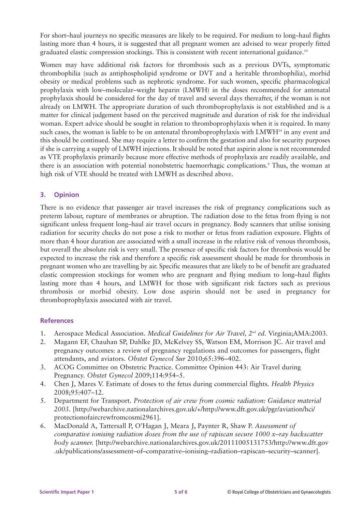For short–haul journeys no specific measures are likely to be required. For medium to long–haul flights lasting more than 4 hours, it is suggested that all pregnant women are advised to wear properly fitted graduated elastic compression stockings. This is consistent with recent international guidance.<sup>10</sup>

Women may have additional risk factors for thrombosis such as a previous DVTs, symptomatic thrombophilia (such as antiphospholipid syndrome or DVT and a heritable thrombophilia), morbid obesity or medical problems such as nephrotic syndrome. For such women, specific pharmacological prophylaxis with low–molecular–weight heparin (LMWH) in the doses recommended for antenatal prophylaxis should be considered for the day of travel and several days thereafter, if the woman is not already on LMWH. The appropriate duration of such thromboprophylaxis is not established and is a matter for clinical judgement based on the perceived magnitude and duration of risk for the individual woman. Expert advice should be sought in relation to thromboprophylaxis when it is required. In many such cases, the woman is liable to be on antenatal thromboprophylaxis with LMWH<sup>14</sup> in any event and this should be continued. She may require a letter to confirm the gestation and also for security purposes if she is carrying a supply of LMWH injections. It should be noted that aspirin alone is not recommended as VTE prophylaxis primarily because more effective methods of prophylaxis are readily available, and there is an association with potential nonobstetric haemorrhagic complications.<sup>9</sup> Thus, the woman at high risk of VTE should be treated with LMWH as described above.

### **3. Opinion**

There is no evidence that passenger air travel increases the risk of pregnancy complications such as preterm labour, rupture of membranes or abruption. The radiation dose to the fetus from flying is not significant unless frequent long–haul air travel occurs in pregnancy. Body scanners that utilise ionising radiation for security checks do not pose a risk to mother or fetus from radiation exposure. Flights of more than 4 hour duration are associated with a small increase in the relative risk of venous thrombosis, but overall the absolute risk is very small. The presence of specific risk factors for thrombosis would be expected to increase the risk and therefore a specific risk assessment should be made for thrombosis in pregnant women who are travelling by air. Specific measures that are likely to be of benefit are graduated elastic compression stockings for women who are pregnant and flying medium to long–haul flights lasting more than 4 hours, and LMWH for those with significant risk factors such as previous thrombosis or morbid obesity. Low dose aspirin should not be used in pregnancy for thromboprophylaxis associated with air travel.

### **References**

- 1. Aerospace Medical Association. *Medical Guidelines for Air Travel, 2nd ed.* Virginia;AMA:2003.
- 2. Magann EF, Chauhan SP, Dahlke JD, McKelvey SS, Watson EM, Morrison JC. Air travel and pregnancy outcomes: a review of pregnancy regulations and outcomes for passengers, flight attendants, and aviators. *Obstet Gynecol Sur* 2010;65:396–402.
- 3. ACOG Committee on Obstetric Practice. Committee Opinion 443: Air Travel during Pregnancy. *Obstet Gynecol* 2009;114:954–5.
- 4. Chen J, Mares V. Estimate of doses to the fetus during commercial flights. *Health Physics* 2008;95:407–12.
- 5. Department for Transport. *Protection of air crew from cosmic radiation: Guidance material 2003.* [http://webarchive.nationalarchives.gov.uk/+/http://www.dft.gov.uk/pgr/aviation/hci/ protectionofaircrewfromcosmi2961].
- 6. MacDonald A, Tattersall P, O'Hagan J, Meara J, Paynter R, Shaw P. *Assessment of comparative ionising radiation doses from the use of rapiscan secure 1000 x–ray backscatter body scanner.* [http://webarchive.nationalarchives.gov.uk/20111005131753/http://www.dft.gov .uk/publications/assessment–of–comparative–ionising–radiation–rapiscan–security–scanner].